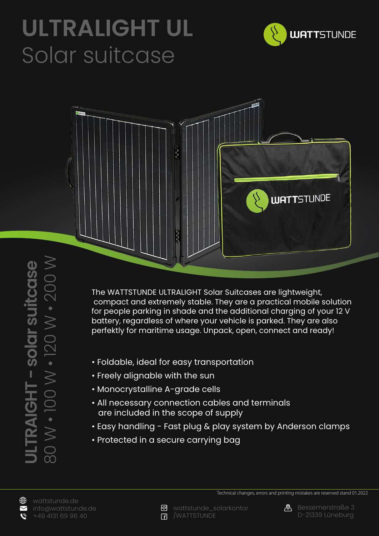## **ULTRALIGHT UL** Solar suitcase





80 W • 100 W • 120 W • 200 W 80 W • 100 W • 120 W • 200 W **ULTRAIGHT - solar suitcase JLTRAIGHT - solar suitcase** 

The WATTSTUNDE ULTRALIGHT Solar Suitcases are lightweight, compact and extremely stable. They are a practical mobile solution for people parking in shade and the additional charging of your 12 V battery, regardless of where your vehicle is parked. They are also perfektly for maritime usage. Unpack, open, connect and ready!

- Foldable, ideal for easy transportation
- Freely alignable with the sun
- Monocrystalline A-grade cells
- All necessary connection cables and terminals are included in the scope of supply
- Easy handling Fast plug & play system by Anderson clamps
- Protected in a secure carrying bag





Technical changes, errors and printing mistakes are reserved stand 01.2022